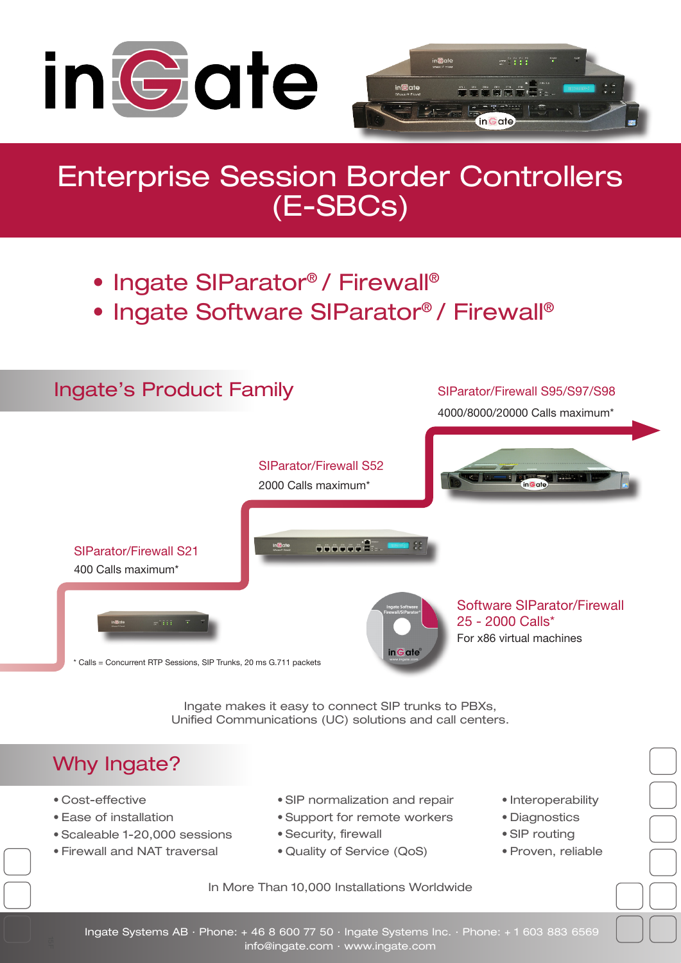

# Enterprise Session Border Controllers (E-SBCs)

- Ingate SIParator® / Firewall®
- Ingate Software SIParator® / Firewall®



Ingate makes it easy to connect SIP trunks to PBXs, Unified Communications (UC) solutions and call centers.

## Why Ingate?

- • Cost-effective
- • Ease of installation
- • Scaleable 1-20,000 sessions
- • Firewall and NAT traversal
- • SIP normalization and repair
- • Support for remote workers
- • Security, firewall
- • Quality of Service (QoS)
- Interoperability
- • Diagnostics
- SIP routina
- • Proven, reliable
- In More Than 10,000 Installations Worldwide
- Ingate Systems AB · Phone: + 46 8 600 77 50 · Ingate Systems Inc. · Phone: + 1 603 883 6569

info@ingate.com · www.ingate.com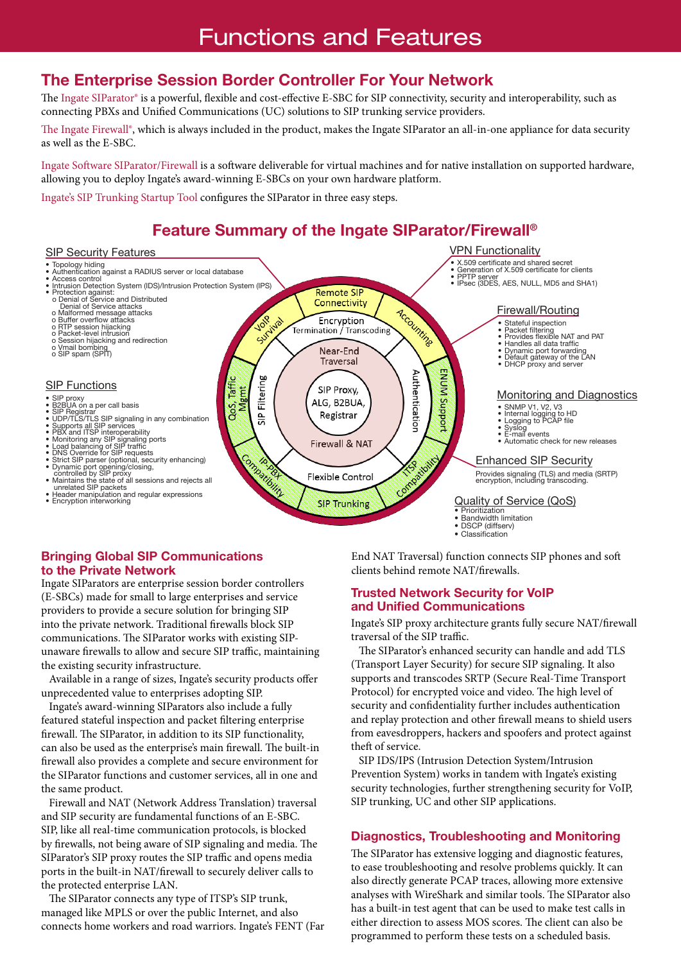## Functions and Features

### The Enterprise Session Border Controller For Your Network

The Ingate SIParator® is a powerful, flexible and cost-effective E-SBC for SIP connectivity, security and interoperability, such as connecting PBXs and Unified Communications (UC) solutions to SIP trunking service providers.

The Ingate Firewall®, which is always included in the product, makes the Ingate SIParator an all-in-one appliance for data security as well as the E-SBC.

Ingate Software SIParator/Firewall is a software deliverable for virtual machines and for native installation on supported hardware, allowing you to deploy Ingate's award-winning E-SBCs on your own hardware platform.

Ingate's SIP Trunking Startup Tool configures the SIParator in three easy steps.

## Feature Summary of the Ingate SIParator/Firewall®



#### Bringing Global SIP Communications to the Private Network

Ingate SIParators are enterprise session border controllers (E-SBCs) made for small to large enterprises and service providers to provide a secure solution for bringing SIP into the private network. Traditional firewalls block SIP communications. The SIParator works with existing SIPunaware firewalls to allow and secure SIP traffic, maintaining the existing security infrastructure.

 Available in a range of sizes, Ingate's security products offer unprecedented value to enterprises adopting SIP.

 Ingate's award-winning SIParators also include a fully featured stateful inspection and packet filtering enterprise firewall. The SIParator, in addition to its SIP functionality, can also be used as the enterprise's main firewall. The built-in firewall also provides a complete and secure environment for the SIParator functions and customer services, all in one and the same product.

 Firewall and NAT (Network Address Translation) traversal and SIP security are fundamental functions of an E-SBC. SIP, like all real-time communication protocols, is blocked by firewalls, not being aware of SIP signaling and media. The SIParator's SIP proxy routes the SIP traffic and opens media ports in the built-in NAT/firewall to securely deliver calls to the protected enterprise LAN.

 The SIParator connects any type of ITSP's SIP trunk, managed like MPLS or over the public Internet, and also connects home workers and road warriors. Ingate's FENT (Far

End NAT Traversal) function connects SIP phones and soft clients behind remote NAT/firewalls.

#### Trusted Network Security for VoIP and Unified Communications

Ingate's SIP proxy architecture grants fully secure NAT/firewall traversal of the SIP traffic.

 The SIParator's enhanced security can handle and add TLS (Transport Layer Security) for secure SIP signaling. It also supports and transcodes SRTP (Secure Real-Time Transport Protocol) for encrypted voice and video. The high level of security and confidentiality further includes authentication and replay protection and other firewall means to shield users from eavesdroppers, hackers and spoofers and protect against theft of service.

 SIP IDS/IPS (Intrusion Detection System/Intrusion Prevention System) works in tandem with Ingate's existing security technologies, further strengthening security for VoIP, SIP trunking, UC and other SIP applications.

#### Diagnostics, Troubleshooting and Monitoring

programmed to perform these tests on a scheduled basis.  $\mathbf{i}$  in  $\mathbf{j}$  in  $\mathbf{k}$  is a set of  $\mathbf{k}$ The SIParator has extensive logging and diagnostic features, to ease troubleshooting and resolve problems quickly. It can also directly generate PCAP traces, allowing more extensive analyses with WireShark and similar tools. The SIParator also has a built-in test agent that can be used to make test calls in either direction to assess MOS scores. The client can also be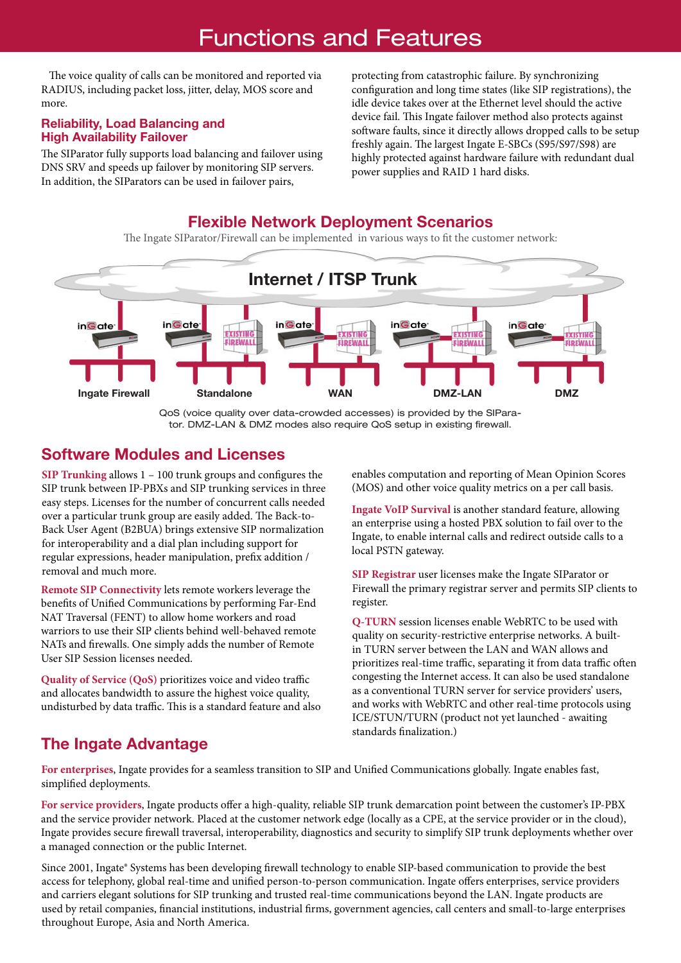## Functions and Features

 The voice quality of calls can be monitored and reported via RADIUS, including packet loss, jitter, delay, MOS score and more.

#### Reliability, Load Balancing and High Availability Failover

The SIParator fully supports load balancing and failover using DNS SRV and speeds up failover by monitoring SIP servers. In addition, the SIParators can be used in failover pairs,

protecting from catastrophic failure. By synchronizing configuration and long time states (like SIP registrations), the idle device takes over at the Ethernet level should the active device fail. This Ingate failover method also protects against software faults, since it directly allows dropped calls to be setup freshly again. The largest Ingate E-SBCs (S95/S97/S98) are highly protected against hardware failure with redundant dual power supplies and RAID 1 hard disks.

### Flexible Network Deployment Scenarios

The Ingate SIParator/Firewall can be implemented in various ways to fit the customer network:



QoS (voice quality over data-crowded accesses) is provided by the SIParator. DMZ-LAN & DMZ modes also require QoS setup in existing firewall.

### Software Modules and Licenses

**SIP Trunking** allows 1 – 100 trunk groups and configures the SIP trunk between IP-PBXs and SIP trunking services in three easy steps. Licenses for the number of concurrent calls needed over a particular trunk group are easily added. The Back-to-Back User Agent (B2BUA) brings extensive SIP normalization for interoperability and a dial plan including support for regular expressions, header manipulation, prefix addition / removal and much more.

**Remote SIP Connectivity** lets remote workers leverage the benefits of Unified Communications by performing Far-End NAT Traversal (FENT) to allow home workers and road warriors to use their SIP clients behind well-behaved remote NATs and firewalls. One simply adds the number of Remote User SIP Session licenses needed.

**Quality of Service (QoS)** prioritizes voice and video traffic and allocates bandwidth to assure the highest voice quality, undisturbed by data traffic. This is a standard feature and also enables computation and reporting of Mean Opinion Scores (MOS) and other voice quality metrics on a per call basis.

**Ingate VoIP Survival** is another standard feature, allowing an enterprise using a hosted PBX solution to fail over to the Ingate, to enable internal calls and redirect outside calls to a local PSTN gateway.

**SIP Registrar** user licenses make the Ingate SIParator or Firewall the primary registrar server and permits SIP clients to register.

**Q-TURN** session licenses enable WebRTC to be used with quality on security-restrictive enterprise networks. A builtin TURN server between the LAN and WAN allows and prioritizes real-time traffic, separating it from data traffic often congesting the Internet access. It can also be used standalone as a conventional TURN server for service providers' users, and works with WebRTC and other real-time protocols using ICE/STUN/TURN (product not yet launched - awaiting standards finalization.)

## The Ingate Advantage

**For enterprises**, Ingate provides for a seamless transition to SIP and Unified Communications globally. Ingate enables fast, simplified deployments.

**For service providers**, Ingate products offer a high-quality, reliable SIP trunk demarcation point between the customer's IP-PBX and the service provider network. Placed at the customer network edge (locally as a CPE, at the service provider or in the cloud), Ingate provides secure firewall traversal, interoperability, diagnostics and security to simplify SIP trunk deployments whether over a managed connection or the public Internet.

Since 2001, Ingate® Systems has been developing firewall technology to enable SIP-based communication to provide the best access for telephony, global real-time and unified person-to-person communication. Ingate offers enterprises, service providers and carriers elegant solutions for SIP trunking and trusted real-time communications beyond the LAN. Ingate products are used by retail companies, financial institutions, industrial firms, government agencies, call centers and small-to-large enterprises throughout Europe, Asia and North America.